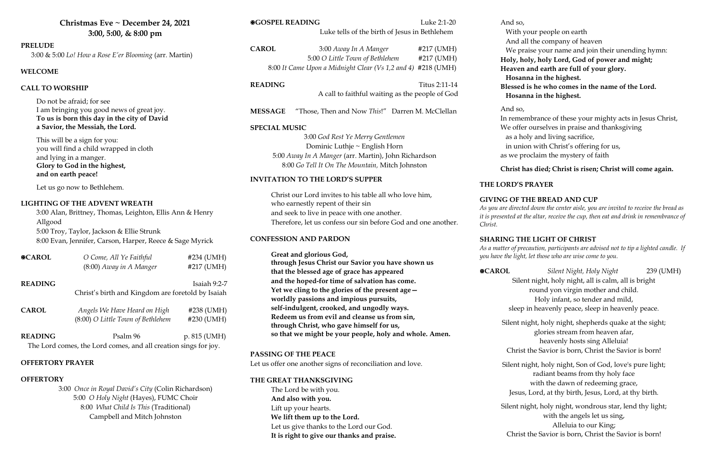**Christmas Eve ~ December 24, 2021 3:00, 5:00, & 8:00 pm**

### **PRELUDE**

3:00 & 5:00 *Lo! How a Rose E'er Blooming* (arr. Martin)

### **WELCOME**

### **CALL TO WORSHIP**

Do not be afraid; for see I am bringing you good news of great joy. **To us is born this day in the city of David a Savior, the Messiah, the Lord.**

This will be a sign for you: you will find a child wrapped in cloth and lying in a manger. **Glory to God in the highest, and on earth peace!**

Let us go now to Bethlehem.

### **LIGHTING OF THE ADVENT WREATH**

3:00 Alan, Brittney, Thomas, Leighton, Ellis Ann & Henry Allgood 5:00 Troy, Taylor, Jackson & Ellie Strunk 8:00 Evan, Jennifer, Carson, Harper, Reece & Sage Myrick

| <b>ECAROL</b>  | O Come, All Ye Faithful                                         | #234 (UMH)   |
|----------------|-----------------------------------------------------------------|--------------|
|                | (8:00) Away in A Manger                                         | #217 (UMH)   |
| <b>READING</b> |                                                                 | Isaiah 9:2-7 |
|                | Christ's birth and Kingdom are foretold by Isaiah               |              |
| <b>CAROL</b>   | Angels We Have Heard on High                                    | #238 (UMH)   |
|                | (8:00) O Little Town of Bethlehem                               | #230 (UMH)   |
| <b>READING</b> | Psalm 96                                                        | p. 815 (UMH) |
|                | The Lord comes, the Lord comes, and all creation sings for joy. |              |

### **OFFERTORY PRAYER**

### **OFFERTORY**

3:00 *Once in Royal David's City* (Colin Richardson) 5:00 *O Holy Night* (Hayes), FUMC Choir 8:00 *What Child Is This* (Traditional) Campbell and Mitch Johnston

| <b>EGOSPEL READING</b><br>Luke tells of the birth of Jesus in Bethlehem |                                                                                                               | Luke 2:1-20                              |
|-------------------------------------------------------------------------|---------------------------------------------------------------------------------------------------------------|------------------------------------------|
| <b>CAROL</b>                                                            | 3:00 Away In A Manger<br>5:00 O Little Town of Bethlehem<br>8:00 It Came Upon a Midnight Clear (Vs 1,2 and 4) | $#217$ (UMH)<br>#217 (UMH)<br>#218 (UMH) |
| <b>READING</b>                                                          | A call to faithful waiting as the people of God                                                               | Titus 2:11-14                            |

**MESSAGE** "Those, Then and Now *This*!" Darren M. McClellan

### **SPECIAL MUSIC**

3:00 *God Rest Ye Merry Gentlemen* Dominic Luthje ~ English Horn 5:00 *Away In A Manger* (arr. Martin), John Richardson 8:00 *Go Tell It On The Mountain,* Mitch Johnston

### **INVITATION TO THE LORD'S SUPPER**

Christ our Lord invites to his table all who love him, who earnestly repent of their sin and seek to live in peace with one another. Therefore, let us confess our sin before God and one another.

### **CONFESSION AND PARDON**

**Great and glorious God, through Jesus Christ our Savior you have shown us that the blessed age of grace has appeared and the hoped-for time of salvation has come. Yet we cling to the glories of the present age worldly passions and impious pursuits, self-indulgent, crooked, and ungodly ways. Redeem us from evil and cleanse us from sin, through Christ, who gave himself for us, so that we might be your people, holy and whole. Amen.**

# **PASSING OF THE PEACE**

Let us offer one another signs of reconciliation and love.

### **THE GREAT THANKSGIVING**

The Lord be with you. **And also with you.** Lift up your hearts. **We lift them up to the Lord.** Let us give thanks to the Lord our God. **It is right to give our thanks and praise.** And so,

 With your people on earth And all the company of heaven We praise your name and join their unending hymn: **Holy, holy, holy Lord, God of power and might; Heaven and earth are full of your glory. Hosanna in the highest. Blessed is he who comes in the name of the Lord. Hosanna in the highest.**

And so,

In remembrance of these your mighty acts in Jesus Christ, We offer ourselves in praise and thanksgiving as a holy and living sacrifice, in union with Christ's offering for us, as we proclaim the mystery of faith

# **Christ has died; Christ is risen; Christ will come again.**

## **THE LORD'S PRAYER**

## **GIVING OF THE BREAD AND CUP**

*As you are directed down the center aisle, you are invited to receive the bread as it is presented at the altar, receive the cup, then eat and drink in remembrance of* 

*Christ.* 

**ECAROL** 

## **SHARING THE LIGHT OF CHRIST**

*As a matter of precaution, participants are advised not to tip a lighted candle. If you have the light, let those who are wise come to you.* 

| $\overline{\text{OL}}$ | Silent Night, Holy Night                                 | 239 (UMH |
|------------------------|----------------------------------------------------------|----------|
|                        | Silent night, holy night, all is calm, all is bright     |          |
|                        | round yon virgin mother and child.                       |          |
|                        | Holy infant, so tender and mild,                         |          |
|                        | sleep in heavenly peace, sleep in heavenly peace.        |          |
|                        | Silent night, holy night, shepherds quake at the sight;  |          |
|                        | glories stream from heaven afar,                         |          |
|                        | heavenly hosts sing Alleluia!                            |          |
|                        | Christ the Savior is born, Christ the Savior is born!    |          |
|                        | Silent night, holy night, Son of God, love's pure light; |          |
|                        | radiant beams from thy holy face                         |          |
|                        | with the dawn of redeeming grace,                        |          |
|                        | Jesus, Lord, at thy birth, Jesus, Lord, at thy birth.    |          |
|                        | Silent night, holy night, wondrous star, lend thy light; |          |
|                        | with the angels let us sing,                             |          |
|                        | Alleluia to our King;                                    |          |
|                        | Christ the Savior is born, Christ the Savior is born!    |          |